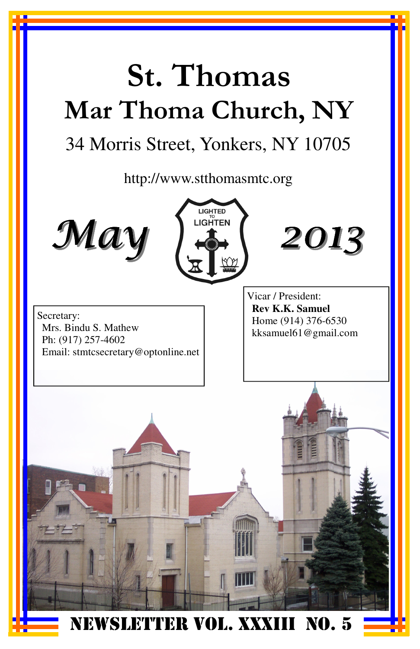# St. Thomas Mar Thoma Church, NY

## 34 Morris Street, Yonkers, NY 10705

http://www.stthomasmtc.org







Secretary: Mrs. Bindu S. Mathew Ph: (917) 257-4602 Email: stmtcsecretary@optonline.net Vicar / President: **Rev K.K. Samuel**  Home (914) 376-6530 kksamuel61@gmail.com

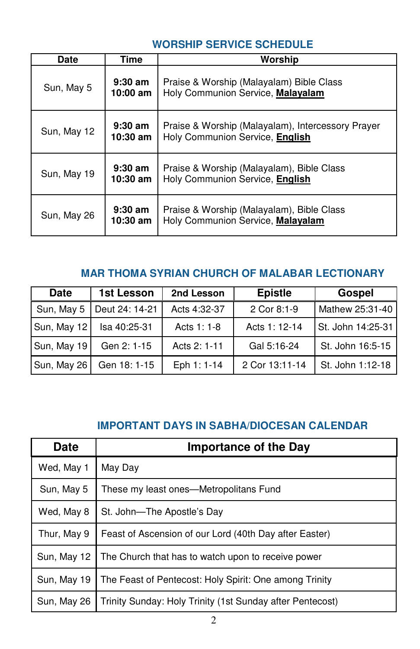## **WORSHIP SERVICE SCHEDULE**

| Date        | Time                    | Worship                                                                              |
|-------------|-------------------------|--------------------------------------------------------------------------------------|
| Sun, May 5  | $9:30$ am<br>10:00 am   | Praise & Worship (Malayalam) Bible Class<br>Holy Communion Service, Malayalam        |
| Sun, May 12 | $9:30$ am<br>$10:30$ am | Praise & Worship (Malayalam), Intercessory Prayer<br>Holy Communion Service, English |
| Sun, May 19 | $9:30$ am<br>$10:30$ am | Praise & Worship (Malayalam), Bible Class<br>Holy Communion Service, English         |
| Sun, May 26 | $9:30$ am<br>10:30 am   | Praise & Worship (Malayalam), Bible Class<br>Holy Communion Service, Malayalam       |

## **MAR THOMA SYRIAN CHURCH OF MALABAR LECTIONARY**

| <b>Date</b> | 1st Lesson     | 2nd Lesson   | <b>Epistle</b> | Gospel            |
|-------------|----------------|--------------|----------------|-------------------|
| Sun, May 5  | Deut 24: 14-21 | Acts 4:32-37 | 2 Cor 8:1-9    | Mathew 25:31-40   |
| Sun, May 12 | Isa 40:25-31   | Acts 1: 1-8  | Acts 1: 12-14  | St. John 14:25-31 |
| Sun, May 19 | Gen 2: 1-15    | Acts 2: 1-11 | Gal 5:16-24    | St. John 16:5-15  |
| Sun, May 26 | Gen 18: 1-15   | Eph 1: 1-14  | 2 Cor 13:11-14 | St. John 1:12-18  |

### **IMPORTANT DAYS IN SABHA/DIOCESAN CALENDAR**

| <b>Date</b> | <b>Importance of the Day</b>                              |
|-------------|-----------------------------------------------------------|
| Wed, May 1  | May Day                                                   |
| Sun, May 5  | These my least ones—Metropolitans Fund                    |
| Wed, May 8  | St. John-The Apostle's Day                                |
| Thur, May 9 | Feast of Ascension of our Lord (40th Day after Easter)    |
| Sun, May 12 | The Church that has to watch upon to receive power        |
| Sun, May 19 | The Feast of Pentecost: Holy Spirit: One among Trinity    |
| Sun, May 26 | Trinity Sunday: Holy Trinity (1st Sunday after Pentecost) |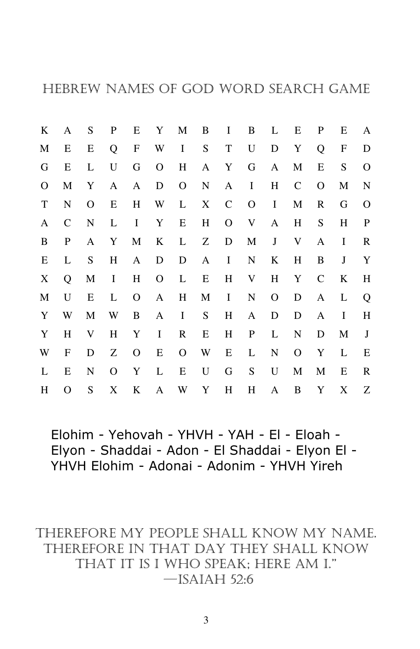| K           | A            | S         | P | Ε                         | Y            | M         | B           | I            | B           | L            | Ε         | P            | E         | A           |
|-------------|--------------|-----------|---|---------------------------|--------------|-----------|-------------|--------------|-------------|--------------|-----------|--------------|-----------|-------------|
| М           | E            | Е         | Q | $\boldsymbol{\mathrm{F}}$ | W            | I         | ${\bf S}$   | $\mathbf T$  | $\mathbf U$ | D            | Y         | Q            | F         | D           |
| G           | Е            | L         | U | G                         | $\mathbf O$  | $H_{\rm}$ | A           | Y            | G           | $\mathbf{A}$ | M         | E            | ${\bf S}$ | $\mathbf O$ |
| 0           | M            | Y         | A | A                         | D            | O         | ${\bf N}$   | A            | I           | $H_{\rm}$    | C         | O            | M         | N           |
| $\mathbf T$ | N            | O         | E | H                         | W            | L         | X           | $\mathsf{C}$ | O           | I            | M         | R            | G         | $\Omega$    |
| A           | $\mathsf{C}$ | ${\bf N}$ | L | $\bf{I}$                  | Y            | E         | $H_{\rm}$   | O            | V           | A            | $H_{\rm}$ | S            | $H_{\rm}$ | $\mathbf P$ |
| B           | P            | A         | Y | M                         | K            | L         | Ζ           | D            | M           | J            | V         | A            | I         | R           |
| Е           | L            | ${\bf S}$ | H | A                         | D            | D         | A           | I            | N           | K            | Η         | B            | $\bf J$   | Y           |
| X           | Q            | M         | I | $H_{\rm}$                 | $\mathbf{O}$ | L         | E           | Η            | V           | Η            | Y         | $\mathsf{C}$ | K         | H           |
| M           | U            | Е         | L | O                         | A            | H         | M           | I            | ${\bf N}$   | $\mathbf{O}$ | D         | A            | L         | Q           |
| Y           | W            | M         | W | B                         | A            | I         | ${\bf S}$   | H            | A           | D            | D         | A            | I         | $H_{\rm}$   |
| Y           | H            | V         | H | Y                         | I            | R         | E           | H            | ${\bf P}$   | L            | N         | D            | M         | J           |
| W           | F            | D         | Z | O                         | E            | O         | W           | Ε            | L           | N            | O         | Y            | L         | Е           |
| L           | E            | N         | O | Y                         | L            | Ε         | $\mathbf U$ | G            | ${\bf S}$   | U            | M         | M            | Ε         | R           |
| H           | O            | S         | X | K                         | A            | W         | Y           | H            | Η           | A            | B         | Y            | X         | Z           |

Elohim - Yehovah - YHVH - YAH - El - Eloah - Elyon - Shaddai - Adon - El Shaddai - Elyon El - YHVH Elohim - Adonai - Adonim - YHVH Yireh

THEREFORE MY PEOPLE SHALL KNOW MY NAME. THEREFORE IN THAT DAY THEY SHALL KNOW THAT IT IS I WHO SPEAK; HERE AM I."  $-$ ISAIAH 52:6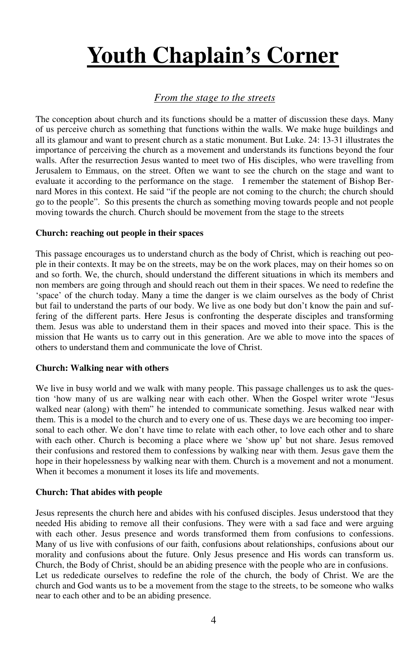# **Youth Chaplain's Corner**

#### *From the stage to the streets*

The conception about church and its functions should be a matter of discussion these days. Many of us perceive church as something that functions within the walls. We make huge buildings and all its glamour and want to present church as a static monument. But Luke. 24: 13-31 illustrates the importance of perceiving the church as a movement and understands its functions beyond the four walls. After the resurrection Jesus wanted to meet two of His disciples, who were travelling from Jerusalem to Emmaus, on the street. Often we want to see the church on the stage and want to evaluate it according to the performance on the stage. I remember the statement of Bishop Bernard Mores in this context. He said "if the people are not coming to the church; the church should go to the people". So this presents the church as something moving towards people and not people moving towards the church. Church should be movement from the stage to the streets

#### **Church: reaching out people in their spaces**

This passage encourages us to understand church as the body of Christ, which is reaching out people in their contexts. It may be on the streets, may be on the work places, may on their homes so on and so forth. We, the church, should understand the different situations in which its members and non members are going through and should reach out them in their spaces. We need to redefine the 'space' of the church today. Many a time the danger is we claim ourselves as the body of Christ but fail to understand the parts of our body. We live as one body but don't know the pain and suffering of the different parts. Here Jesus is confronting the desperate disciples and transforming them. Jesus was able to understand them in their spaces and moved into their space. This is the mission that He wants us to carry out in this generation. Are we able to move into the spaces of others to understand them and communicate the love of Christ.

#### **Church: Walking near with others**

We live in busy world and we walk with many people. This passage challenges us to ask the question 'how many of us are walking near with each other. When the Gospel writer wrote "Jesus walked near (along) with them" he intended to communicate something. Jesus walked near with them. This is a model to the church and to every one of us. These days we are becoming too impersonal to each other. We don't have time to relate with each other, to love each other and to share with each other. Church is becoming a place where we 'show up' but not share. Jesus removed their confusions and restored them to confessions by walking near with them. Jesus gave them the hope in their hopelessness by walking near with them. Church is a movement and not a monument. When it becomes a monument it loses its life and movements.

#### **Church: That abides with people**

Jesus represents the church here and abides with his confused disciples. Jesus understood that they needed His abiding to remove all their confusions. They were with a sad face and were arguing with each other. Jesus presence and words transformed them from confusions to confessions. Many of us live with confusions of our faith, confusions about relationships, confusions about our morality and confusions about the future. Only Jesus presence and His words can transform us. Church, the Body of Christ, should be an abiding presence with the people who are in confusions. Let us rededicate ourselves to redefine the role of the church, the body of Christ. We are the church and God wants us to be a movement from the stage to the streets, to be someone who walks near to each other and to be an abiding presence.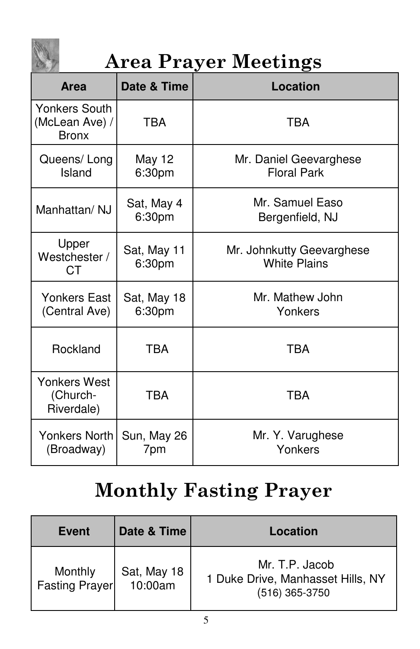

## Area Prayer Meetings

| <b>Area</b>                                            | Date & Time                                                               | Location                                     |
|--------------------------------------------------------|---------------------------------------------------------------------------|----------------------------------------------|
| <b>Yonkers South</b><br>(McLean Ave) /<br><b>Bronx</b> | <b>TBA</b>                                                                | <b>TBA</b>                                   |
| Queens/Long<br>Island                                  | <b>May 12</b><br>6:30pm                                                   | Mr. Daniel Geevarghese<br><b>Floral Park</b> |
| Manhattan/ NJ                                          | Sat, May 4<br>6:30pm                                                      | Mr. Samuel Easo<br>Bergenfield, NJ           |
| Upper<br>Westchester /<br><b>CT</b>                    | Sat, May 11<br>Mr. Johnkutty Geevarghese<br><b>White Plains</b><br>6:30pm |                                              |
| Yonkers East<br>(Central Ave)                          | Sat, May 18<br>6:30pm                                                     | Mr. Mathew John<br>Yonkers                   |
| Rockland                                               | <b>TBA</b>                                                                | TBA                                          |
| Yonkers West<br>(Church-<br>Riverdale)                 | <b>TBA</b>                                                                | <b>TBA</b>                                   |
| Yonkers North<br>(Broadway)                            | Sun, May 26<br>7pm                                                        | Mr. Y. Varughese<br>Yonkers                  |

## Monthly Fasting Prayer

| <b>Event</b>                     | Date & Time            | Location                                                              |
|----------------------------------|------------------------|-----------------------------------------------------------------------|
| Monthly<br><b>Fasting Prayer</b> | Sat, May 18<br>10:00am | Mr. T.P. Jacob<br>1 Duke Drive, Manhasset Hills, NY<br>(516) 365-3750 |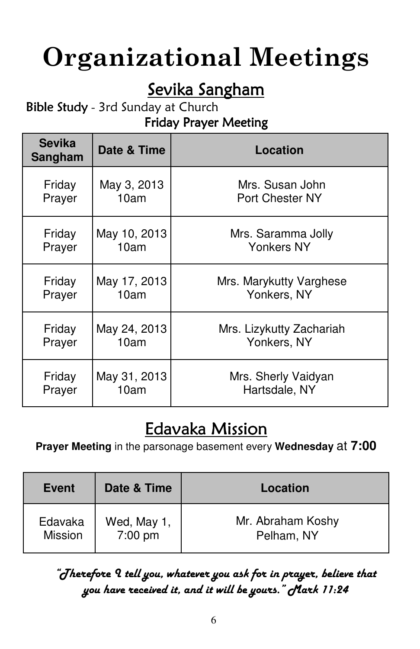# Organizational Meetings

## Sevika Sangham

## Bible Study - 3rd Sunday at Church

## Friday Prayer Meeting

| <b>Sevika</b><br>Sangham | Date & Time  | Location                 |
|--------------------------|--------------|--------------------------|
| Friday                   | May 3, 2013  | Mrs. Susan John          |
| Prayer                   | 10am         | Port Chester NY          |
| Friday                   | May 10, 2013 | Mrs. Saramma Jolly       |
| Prayer                   | 10am         | Yonkers NY               |
| Friday                   | May 17, 2013 | Mrs. Marykutty Varghese  |
| Prayer                   | 10am         | Yonkers, NY              |
| Friday                   | May 24, 2013 | Mrs. Lizykutty Zachariah |
| Prayer                   | 10am         | Yonkers, NY              |
| Friday                   | May 31, 2013 | Mrs. Sherly Vaidyan      |
| Prayer                   | 10am         | Hartsdale, NY            |

## Edavaka Mission

**Prayer Meeting** in the parsonage basement every **Wednesday** at **7:00** 

| Event              | Date & Time            | Location                        |
|--------------------|------------------------|---------------------------------|
| Edavaka<br>Mission | Wed, May 1,<br>7:00 pm | Mr. Abraham Koshy<br>Pelham, NY |

"Therefore I tell you, whatever you ask for in prayer, believe that you have received it, and it will be yours." Mark 11:24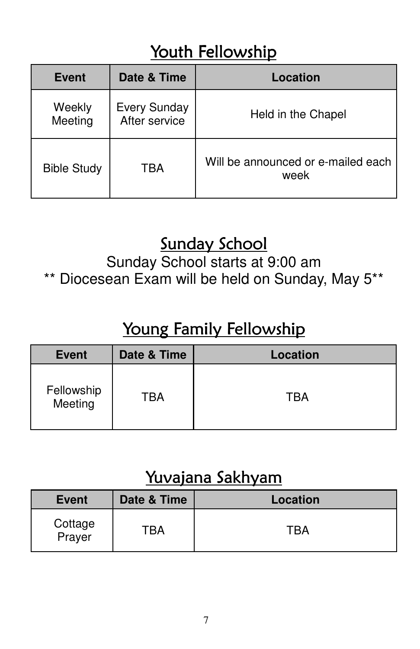## Youth Fellowship

| <b>Event</b>       | Date & Time                          | Location                                   |
|--------------------|--------------------------------------|--------------------------------------------|
| Weekly<br>Meeting  | <b>Every Sunday</b><br>After service | Held in the Chapel                         |
| <b>Bible Study</b> | TBA                                  | Will be announced or e-mailed each<br>week |

## Sunday School

Sunday School starts at 9:00 am \*\* Diocesean Exam will be held on Sunday, May 5\*\*

## Young Family Fellowship

| <b>Event</b>          | Date & Time | Location |
|-----------------------|-------------|----------|
| Fellowship<br>Meeting | TBA         | TBA      |

## Yuvajana Sakhyam

| <b>Event</b>      | Date & Time | Location |
|-------------------|-------------|----------|
| Cottage<br>Prayer | TBA         | TBA      |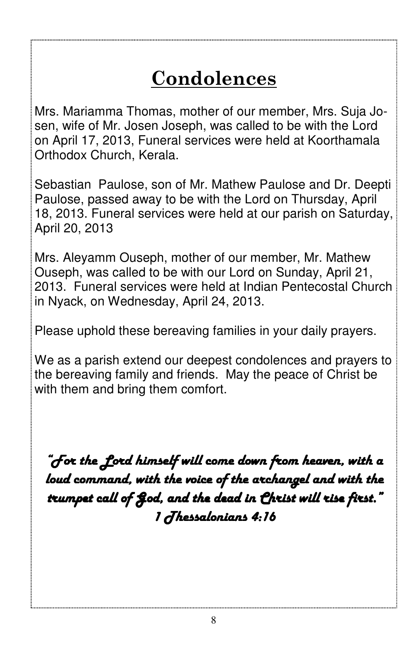## Condolences

Mrs. Mariamma Thomas, mother of our member, Mrs. Suja Josen, wife of Mr. Josen Joseph, was called to be with the Lord on April 17, 2013, Funeral services were held at Koorthamala Orthodox Church, Kerala.

Sebastian Paulose, son of Mr. Mathew Paulose and Dr. Deepti Paulose, passed away to be with the Lord on Thursday, April 18, 2013. Funeral services were held at our parish on Saturday, April 20, 2013

Mrs. Aleyamm Ouseph, mother of our member, Mr. Mathew Ouseph, was called to be with our Lord on Sunday, April 21, 2013. Funeral services were held at Indian Pentecostal Church in Nyack, on Wednesday, April 24, 2013.

Please uphold these bereaving families in your daily prayers.

We as a parish extend our deepest condolences and prayers to the bereaving family and friends. May the peace of Christ be with them and bring them comfort.

"For the Lord himself will come down from heaven, with a loud command, with the voice of the archangel and with the trumpet call of God, and the dead in Christ will rise first." 1 Thessalonians 4:16